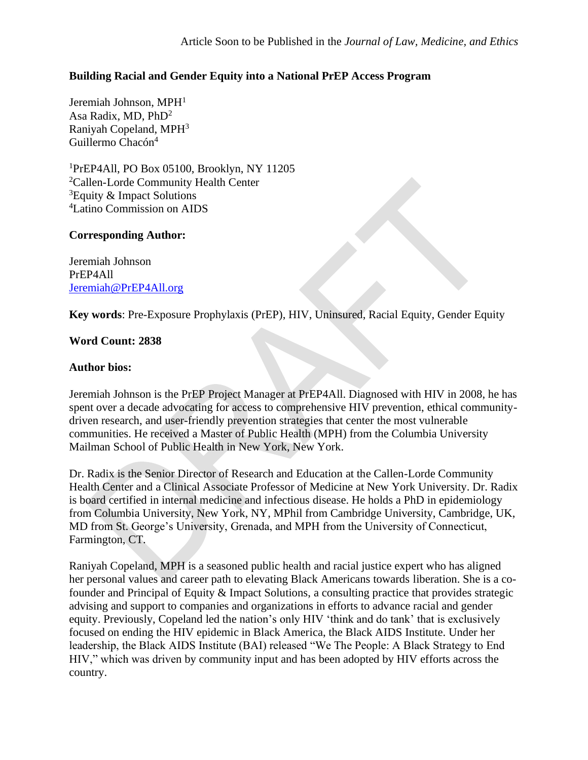# **Building Racial and Gender Equity into a National PrEP Access Program**

Jeremiah Johnson, MPH<sup>1</sup> Asa Radix, MD, PhD<sup>2</sup> Raniyah Copeland, MPH<sup>3</sup> Guillermo Chacón 4

PrEP4All, PO Box 05100, Brooklyn, NY 11205 Callen-Lorde Community Health Center Equity & Impact Solutions Latino Commission on AIDS

## **Corresponding Author:**

Jeremiah Johnson PrEP4All [Jeremiah@PrEP4All.org](mailto:Jeremiah@PrEP4All.org)

**Key words**: Pre-Exposure Prophylaxis (PrEP), HIV, Uninsured, Racial Equity, Gender Equity

# **Word Count: 2838**

## **Author bios:**

Jeremiah Johnson is the PrEP Project Manager at PrEP4All. Diagnosed with HIV in 2008, he has spent over a decade advocating for access to comprehensive HIV prevention, ethical communitydriven research, and user-friendly prevention strategies that center the most vulnerable communities. He received a Master of Public Health (MPH) from the Columbia University Mailman School of Public Health in New York, New York.

Dr. Radix is the Senior Director of Research and Education at the Callen-Lorde Community Health Center and a Clinical Associate Professor of Medicine at New York University. Dr. Radix is board certified in internal medicine and infectious disease. He holds a PhD in epidemiology from Columbia University, New York, NY, MPhil from Cambridge University, Cambridge, UK, MD from St. George's University, Grenada, and MPH from the University of Connecticut, Farmington, CT.

Raniyah Copeland, MPH is a seasoned public health and racial justice expert who has aligned her personal values and career path to elevating Black Americans towards liberation. She is a cofounder and Principal of Equity & Impact Solutions, a consulting practice that provides strategic advising and support to companies and organizations in efforts to advance racial and gender equity. Previously, Copeland led the nation's only HIV 'think and do tank' that is exclusively focused on ending the HIV epidemic in Black America, the Black AIDS Institute. Under her leadership, the Black AIDS Institute (BAI) released "We The People: A Black Strategy to End HIV," which was driven by community input and has been adopted by HIV efforts across the country.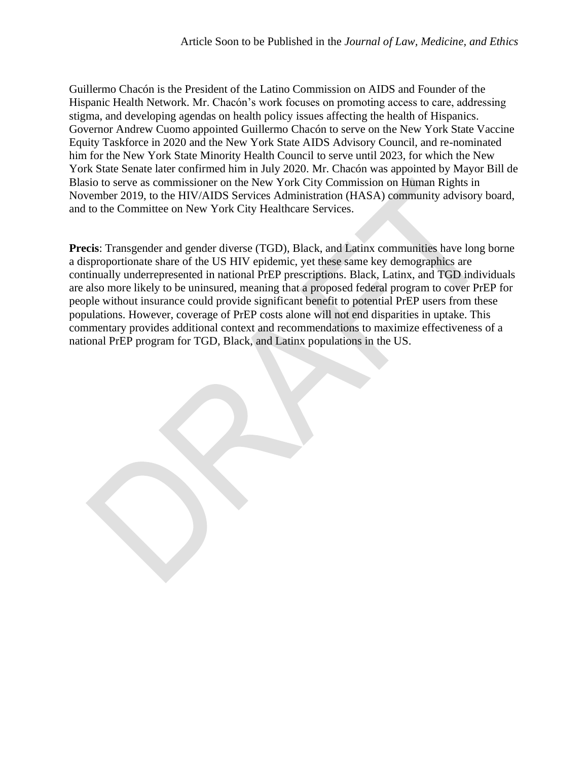Guillermo Chacón is the President of the Latino Commission on AIDS and Founder of the Hispanic Health Network. Mr. Chacón's work focuses on promoting access to care, addressing stigma, and developing agendas on health policy issues affecting the health of Hispanics. Governor Andrew Cuomo appointed Guillermo Chacón to serve on the New York State Vaccine Equity Taskforce in 2020 and the New York State AIDS Advisory Council, and re-nominated him for the New York State Minority Health Council to serve until 2023, for which the New York State Senate later confirmed him in July 2020. Mr. Chacón was appointed by Mayor Bill de Blasio to serve as commissioner on the New York City Commission on Human Rights in November 2019, to the HIV/AIDS Services Administration (HASA) community advisory board, and to the Committee on New York City Healthcare Services.

**Precis**: Transgender and gender diverse (TGD), Black, and Latinx communities have long borne a disproportionate share of the US HIV epidemic, yet these same key demographics are continually underrepresented in national PrEP prescriptions. Black, Latinx, and TGD individuals are also more likely to be uninsured, meaning that a proposed federal program to cover PrEP for people without insurance could provide significant benefit to potential PrEP users from these populations. However, coverage of PrEP costs alone will not end disparities in uptake. This commentary provides additional context and recommendations to maximize effectiveness of a national PrEP program for TGD, Black, and Latinx populations in the US.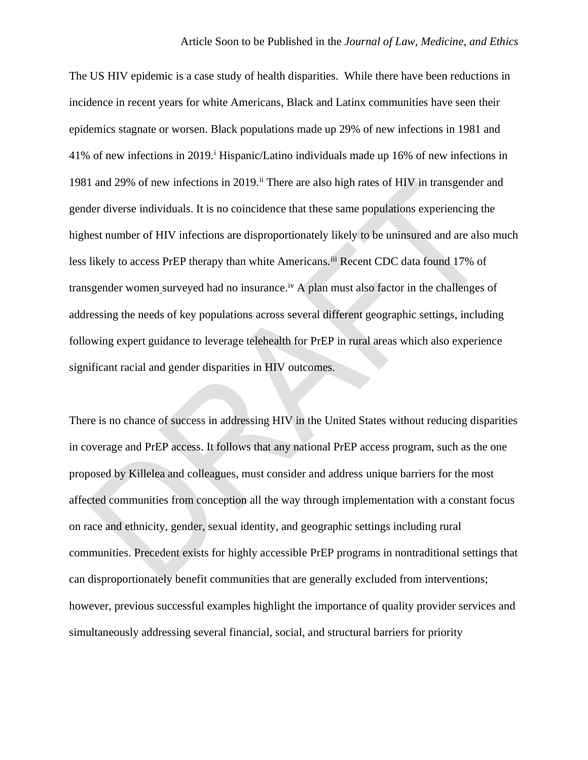The US HIV epidemic is a case study of health disparities. While there have been reductions in incidence in recent years for white Americans, Black and Latinx communities have seen their epidemics stagnate or worsen. Black populations made up 29% of new infections in 1981 and 41% of new infections in 2019.<sup>i</sup> Hispanic/Latino individuals made up 16% of new infections in 1981 and 29% of new infections in 2019.<sup>ii</sup> There are also high rates of HIV in transgender and gender diverse individuals. It is no coincidence that these same populations experiencing the highest number of HIV infections are disproportionately likely to be uninsured and are also much less likely to access PrEP therapy than white Americans.<sup>iii</sup> Recent CDC data found 17% of transgender women surveyed had no insurance.<sup>iv</sup> A plan must also factor in the challenges of addressing the needs of key populations across several different geographic settings, including following expert guidance to leverage telehealth for PrEP in rural areas which also experience significant racial and gender disparities in HIV outcomes.

There is no chance of success in addressing HIV in the United States without reducing disparities in coverage and PrEP access. It follows that any national PrEP access program, such as the one proposed by Killelea and colleagues, must consider and address unique barriers for the most affected communities from conception all the way through implementation with a constant focus on race and ethnicity, gender, sexual identity, and geographic settings including rural communities. Precedent exists for highly accessible PrEP programs in nontraditional settings that can disproportionately benefit communities that are generally excluded from interventions; however, previous successful examples highlight the importance of quality provider services and simultaneously addressing several financial, social, and structural barriers for priority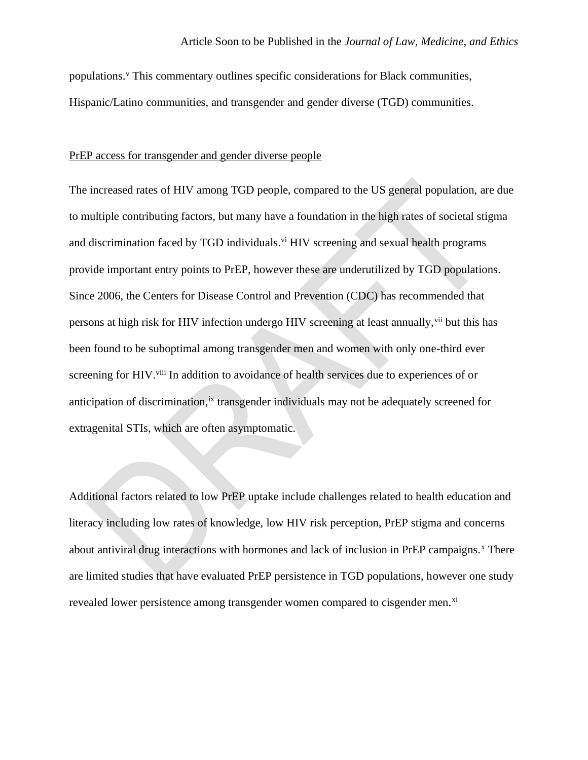populations. $y$  This commentary outlines specific considerations for Black communities, Hispanic/Latino communities, and transgender and gender diverse (TGD) communities.

#### PrEP access for transgender and gender diverse people

The increased rates of HIV among TGD people, compared to the US general population, are due to multiple contributing factors, but many have a foundation in the high rates of societal stigma and discrimination faced by TGD individuals.<sup>vi</sup> HIV screening and sexual health programs provide important entry points to PrEP, however these are underutilized by TGD populations. Since 2006, the Centers for Disease Control and Prevention (CDC) has recommended that persons at high risk for HIV infection undergo HIV screening at least annually, via but this has been found to be suboptimal among transgender men and women with only one-third ever screening for HIV.<sup>viii</sup> In addition to avoidance of health services due to experiences of or anticipation of discrimination, <sup>ix</sup> transgender individuals may not be adequately screened for extragenital STIs, which are often asymptomatic.

Additional factors related to low PrEP uptake include challenges related to health education and literacy including low rates of knowledge, low HIV risk perception, PrEP stigma and concerns about antiviral drug interactions with hormones and lack of inclusion in PrEP campaigns.<sup>x</sup> There are limited studies that have evaluated PrEP persistence in TGD populations, however one study revealed lower persistence among transgender women compared to cisgender men.<sup>xi</sup>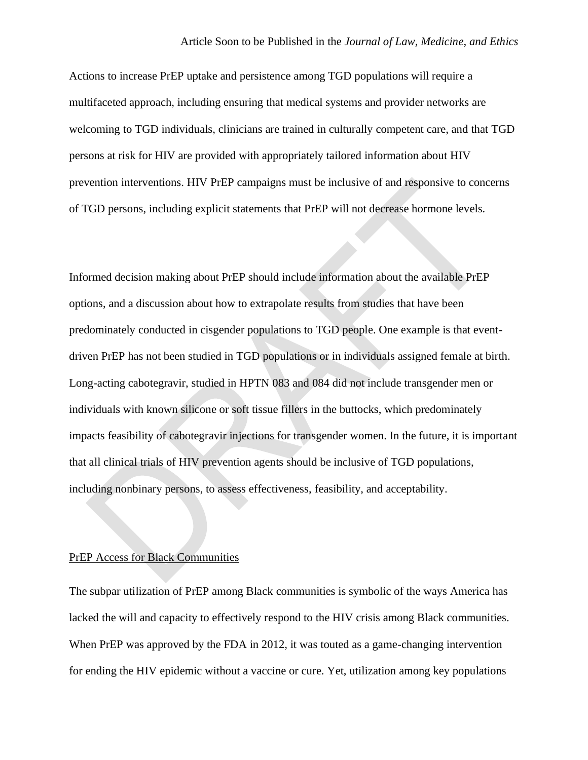Actions to increase PrEP uptake and persistence among TGD populations will require a multifaceted approach, including ensuring that medical systems and provider networks are welcoming to TGD individuals, clinicians are trained in culturally competent care, and that TGD persons at risk for HIV are provided with appropriately tailored information about HIV prevention interventions. HIV PrEP campaigns must be inclusive of and responsive to concerns of TGD persons, including explicit statements that PrEP will not decrease hormone levels.

Informed decision making about PrEP should include information about the available PrEP options, and a discussion about how to extrapolate results from studies that have been predominately conducted in cisgender populations to TGD people. One example is that eventdriven PrEP has not been studied in TGD populations or in individuals assigned female at birth. Long-acting cabotegravir, studied in HPTN 083 and 084 did not include transgender men or individuals with known silicone or soft tissue fillers in the buttocks, which predominately impacts feasibility of cabotegravir injections for transgender women. In the future, it is important that all clinical trials of HIV prevention agents should be inclusive of TGD populations, including nonbinary persons, to assess effectiveness, feasibility, and acceptability.

## PrEP Access for Black Communities

The subpar utilization of PrEP among Black communities is symbolic of the ways America has lacked the will and capacity to effectively respond to the HIV crisis among Black communities. When PrEP was approved by the FDA in 2012, it was touted as a game-changing intervention for ending the HIV epidemic without a vaccine or cure. Yet, utilization among key populations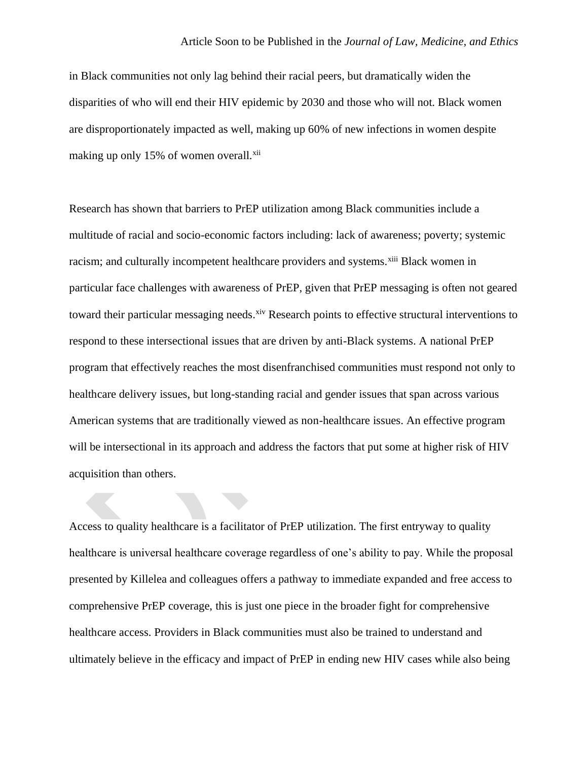#### Article Soon to be Published in the *Journal of Law, Medicine, and Ethics*

in Black communities not only lag behind their racial peers, but dramatically widen the disparities of who will end their HIV epidemic by 2030 and those who will not. Black women are disproportionately impacted as well, making up 60% of new infections in women despite making up only 15% of women overall.<sup>xii</sup>

Research has shown that barriers to PrEP utilization among Black communities include a multitude of racial and socio-economic factors including: lack of awareness; poverty; systemic racism; and culturally incompetent healthcare providers and systems.<sup>xiii</sup> Black women in particular face challenges with awareness of PrEP, given that PrEP messaging is often not geared toward their particular messaging needs. Xiv Research points to effective structural interventions to respond to these intersectional issues that are driven by anti-Black systems. A national PrEP program that effectively reaches the most disenfranchised communities must respond not only to healthcare delivery issues, but long-standing racial and gender issues that span across various American systems that are traditionally viewed as non-healthcare issues. An effective program will be intersectional in its approach and address the factors that put some at higher risk of HIV acquisition than others.

Access to quality healthcare is a facilitator of PrEP utilization. The first entryway to quality healthcare is universal healthcare coverage regardless of one's ability to pay. While the proposal presented by Killelea and colleagues offers a pathway to immediate expanded and free access to comprehensive PrEP coverage, this is just one piece in the broader fight for comprehensive healthcare access. Providers in Black communities must also be trained to understand and ultimately believe in the efficacy and impact of PrEP in ending new HIV cases while also being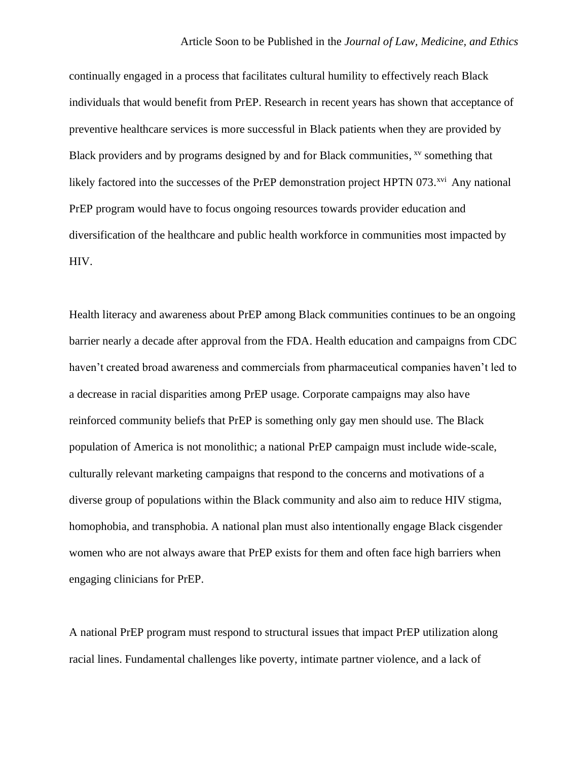continually engaged in a process that facilitates cultural humility to effectively reach Black individuals that would benefit from PrEP. Research in recent years has shown that acceptance of preventive healthcare services is more successful in Black patients when they are provided by Black providers and by programs designed by and for Black communities, xv something that likely factored into the successes of the PrEP demonstration project HPTN 073.<sup>xvi</sup> Any national PrEP program would have to focus ongoing resources towards provider education and diversification of the healthcare and public health workforce in communities most impacted by HIV.

Health literacy and awareness about PrEP among Black communities continues to be an ongoing barrier nearly a decade after approval from the FDA. Health education and campaigns from CDC haven't created broad awareness and commercials from pharmaceutical companies haven't led to a decrease in racial disparities among PrEP usage. Corporate campaigns may also have reinforced community beliefs that PrEP is something only gay men should use. The Black population of America is not monolithic; a national PrEP campaign must include wide-scale, culturally relevant marketing campaigns that respond to the concerns and motivations of a diverse group of populations within the Black community and also aim to reduce HIV stigma, homophobia, and transphobia. A national plan must also intentionally engage Black cisgender women who are not always aware that PrEP exists for them and often face high barriers when engaging clinicians for PrEP.

A national PrEP program must respond to structural issues that impact PrEP utilization along racial lines. Fundamental challenges like poverty, intimate partner violence, and a lack of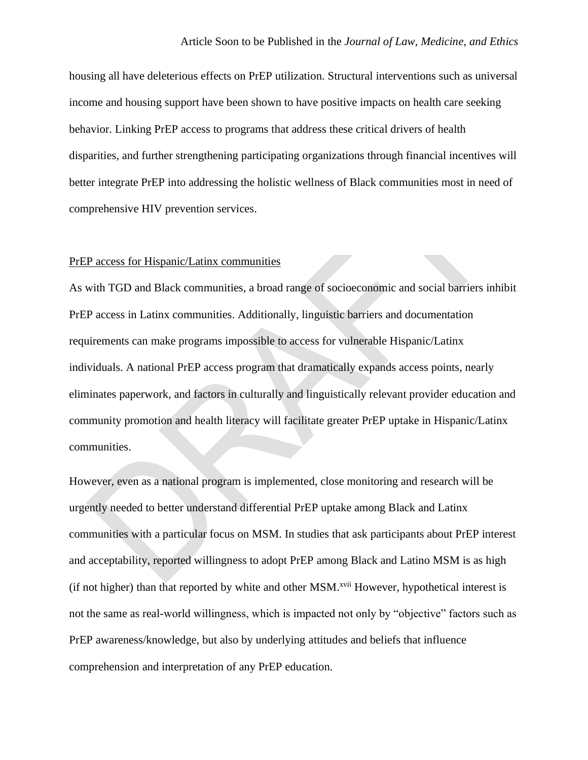### Article Soon to be Published in the *Journal of Law, Medicine, and Ethics*

housing all have deleterious effects on PrEP utilization. Structural interventions such as universal income and housing support have been shown to have positive impacts on health care seeking behavior. Linking PrEP access to programs that address these critical drivers of health disparities, and further strengthening participating organizations through financial incentives will better integrate PrEP into addressing the holistic wellness of Black communities most in need of comprehensive HIV prevention services.

### PrEP access for Hispanic/Latinx communities

As with TGD and Black communities, a broad range of socioeconomic and social barriers inhibit PrEP access in Latinx communities. Additionally, linguistic barriers and documentation requirements can make programs impossible to access for vulnerable Hispanic/Latinx individuals. A national PrEP access program that dramatically expands access points, nearly eliminates paperwork, and factors in culturally and linguistically relevant provider education and community promotion and health literacy will facilitate greater PrEP uptake in Hispanic/Latinx communities.

However, even as a national program is implemented, close monitoring and research will be urgently needed to better understand differential PrEP uptake among Black and Latinx communities with a particular focus on MSM. In studies that ask participants about PrEP interest and acceptability, reported willingness to adopt PrEP among Black and Latino MSM is as high (if not higher) than that reported by white and other MSM.xvii However, hypothetical interest is not the same as real-world willingness, which is impacted not only by "objective" factors such as PrEP awareness/knowledge, but also by underlying attitudes and beliefs that influence comprehension and interpretation of any PrEP education.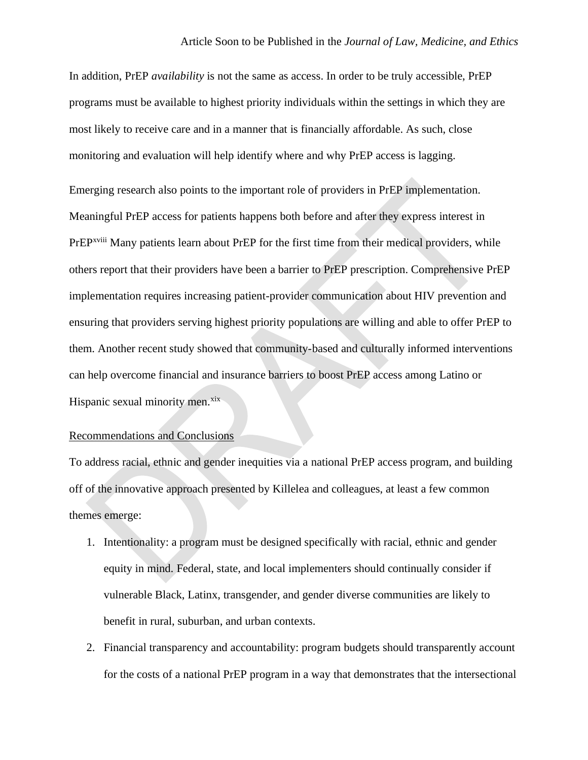In addition, PrEP *availability* is not the same as access. In order to be truly accessible, PrEP programs must be available to highest priority individuals within the settings in which they are most likely to receive care and in a manner that is financially affordable. As such, close monitoring and evaluation will help identify where and why PrEP access is lagging.

Emerging research also points to the important role of providers in PrEP implementation. Meaningful PrEP access for patients happens both before and after they express interest in PrEP<sup>xviii</sup> Many patients learn about PrEP for the first time from their medical providers, while others report that their providers have been a barrier to PrEP prescription. Comprehensive PrEP implementation requires increasing patient-provider communication about HIV prevention and ensuring that providers serving highest priority populations are willing and able to offer PrEP to them. Another recent study showed that community-based and culturally informed interventions can help overcome financial and insurance barriers to boost PrEP access among Latino or Hispanic sexual minority men.<sup>xix</sup>

#### Recommendations and Conclusions

To address racial, ethnic and gender inequities via a national PrEP access program, and building off of the innovative approach presented by Killelea and colleagues, at least a few common themes emerge:

- 1. Intentionality: a program must be designed specifically with racial, ethnic and gender equity in mind. Federal, state, and local implementers should continually consider if vulnerable Black, Latinx, transgender, and gender diverse communities are likely to benefit in rural, suburban, and urban contexts.
- 2. Financial transparency and accountability: program budgets should transparently account for the costs of a national PrEP program in a way that demonstrates that the intersectional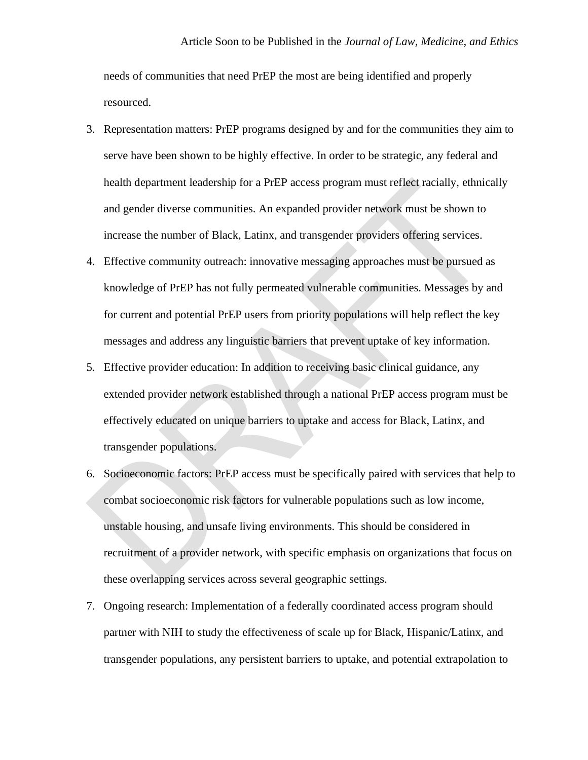needs of communities that need PrEP the most are being identified and properly resourced.

- 3. Representation matters: PrEP programs designed by and for the communities they aim to serve have been shown to be highly effective. In order to be strategic, any federal and health department leadership for a PrEP access program must reflect racially, ethnically and gender diverse communities. An expanded provider network must be shown to increase the number of Black, Latinx, and transgender providers offering services.
- 4. Effective community outreach: innovative messaging approaches must be pursued as knowledge of PrEP has not fully permeated vulnerable communities. Messages by and for current and potential PrEP users from priority populations will help reflect the key messages and address any linguistic barriers that prevent uptake of key information.
- 5. Effective provider education: In addition to receiving basic clinical guidance, any extended provider network established through a national PrEP access program must be effectively educated on unique barriers to uptake and access for Black, Latinx, and transgender populations.
- 6. Socioeconomic factors: PrEP access must be specifically paired with services that help to combat socioeconomic risk factors for vulnerable populations such as low income, unstable housing, and unsafe living environments. This should be considered in recruitment of a provider network, with specific emphasis on organizations that focus on these overlapping services across several geographic settings.
- 7. Ongoing research: Implementation of a federally coordinated access program should partner with NIH to study the effectiveness of scale up for Black, Hispanic/Latinx, and transgender populations, any persistent barriers to uptake, and potential extrapolation to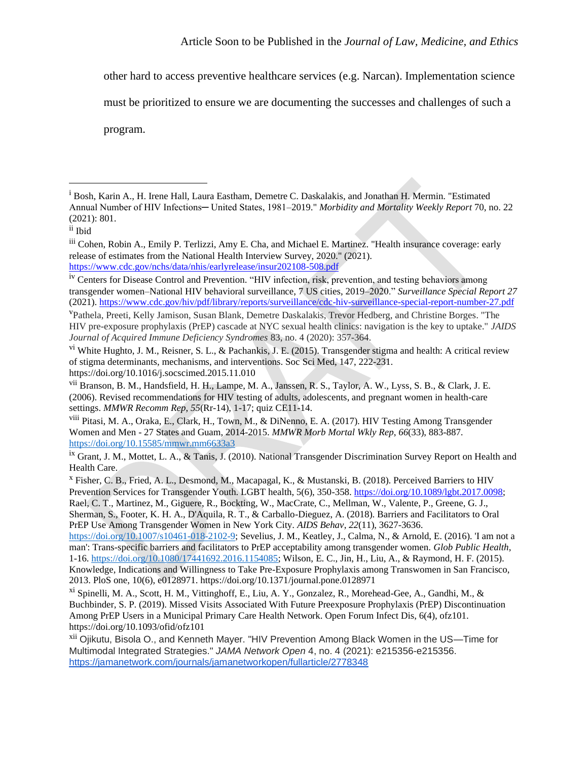other hard to access preventive healthcare services (e.g. Narcan). Implementation science

must be prioritized to ensure we are documenting the successes and challenges of such a

program.

viii Pitasi, M. A., Oraka, E., Clark, H., Town, M., & DiNenno, E. A. (2017). HIV Testing Among Transgender Women and Men - 27 States and Guam, 2014-2015. *MMWR Morb Mortal Wkly Rep*, *66*(33), 883-887[.](https://doi.org/10.15585/mmwr.mm6633a3) <https://doi.org/10.15585/mmwr.mm6633a3>

<sup>&</sup>lt;sup>i</sup> Bosh, Karin A., H. Irene Hall, Laura Eastham, Demetre C. Daskalakis, and Jonathan H. Mermin. "Estimated Annual Number of HIV Infections─ United States, 1981–2019." *Morbidity and Mortality Weekly Report* 70, no. 22 (2021): 801.

ii Ibid

iii Cohen, Robin A., Emily P. Terlizzi, Amy E. Cha, and Michael E. Martinez. "Health insurance coverage: early release of estimates from the National Health Interview Survey, 2020." (2021). <https://www.cdc.gov/nchs/data/nhis/earlyrelease/insur202108-508.pdf>

<sup>&</sup>lt;sup>iv</sup> Centers for Disease Control and Prevention. "HIV infection, risk, prevention, and testing behaviors among transgender women–National HIV behavioral surveillance, 7 US cities, 2019–2020." *Surveillance Special Report 27* (2021)[. https://www.cdc.gov/hiv/pdf/library/reports/surveillance/cdc-hiv-surveillance-special-report-number-27.pdf](https://www.cdc.gov/hiv/pdf/library/reports/surveillance/cdc-hiv-surveillance-special-report-number-27.pdf)

<sup>v</sup>Pathela, Preeti, Kelly Jamison, Susan Blank, Demetre Daskalakis, Trevor Hedberg, and Christine Borges. "The HIV pre-exposure prophylaxis (PrEP) cascade at NYC sexual health clinics: navigation is the key to uptake." *JAIDS Journal of Acquired Immune Deficiency Syndromes* 83, no. 4 (2020): 357-364.

vi White Hughto, J. M., Reisner, S. L., & Pachankis, J. E. (2015). Transgender stigma and health: A critical review of stigma determinants, mechanisms, and interventions. Soc Sci Med, 147, 222-231. https://doi.org/10.1016/j.socscimed.2015.11.010

vii Branson, B. M., Handsfield, H. H., Lampe, M. A., Janssen, R. S., Taylor, A. W., Lyss, S. B., & Clark, J. E. (2006). Revised recommendations for HIV testing of adults, adolescents, and pregnant women in health-care settings. *MMWR Recomm Rep*, *55*(Rr-14), 1-17; quiz CE11-14.

ix Grant, J. M., Mottet, L. A., & Tanis, J. (2010). National Transgender Discrimination Survey Report on Health and Health Care.

<sup>x</sup> Fisher, C. B., Fried, A. L., Desmond, M., Macapagal, K., & Mustanski, B. (2018). Perceived Barriers to HIV Prevention Services for Transgender Youth. LGBT health, 5(6), 350-358. [https://doi.org/10.1089/lgbt.2017.0098;](https://doi.org/10.1089/lgbt.2017.0098) Rael, C. T., Martinez, M., Giguere, R., Bockting, W., MacCrate, C., Mellman, W., Valente, P., Greene, G. J., Sherman, S., Footer, K. H. A., D'Aquila, R. T., & Carballo-Dieguez, A. (2018). Barriers and Facilitators to Oral PrEP Use Among Transgender Women in New York City. *AIDS Behav*, *22*(11), 3627-3636[.](https://doi.org/10.1007/s10461-018-2102-9)

[https://doi.org/10.1007/s10461-018-2102-9;](https://doi.org/10.1007/s10461-018-2102-9) Sevelius, J. M., Keatley, J., Calma, N., & Arnold, E. (2016). 'I am not a man': Trans-specific barriers and facilitators to PrEP acceptability among transgender women. *Glob Public Health*, 1-16. [https://doi.org/10.1080/17441692.2016.1154085;](https://doi.org/10.1080/17441692.2016.1154085) Wilson, E. C., Jin, H., Liu, A., & Raymond, H. F. (2015). Knowledge, Indications and Willingness to Take Pre-Exposure Prophylaxis among Transwomen in San Francisco, 2013. PloS one, 10(6), e0128971. https://doi.org/10.1371/journal.pone.0128971

xi Spinelli, M. A., Scott, H. M., Vittinghoff, E., Liu, A. Y., Gonzalez, R., Morehead-Gee, A., Gandhi, M., & Buchbinder, S. P. (2019). Missed Visits Associated With Future Preexposure Prophylaxis (PrEP) Discontinuation Among PrEP Users in a Municipal Primary Care Health Network. Open Forum Infect Dis, 6(4), ofz101. https://doi.org/10.1093/ofid/ofz101

xii Ojikutu, Bisola O., and Kenneth Mayer. "HIV Prevention Among Black Women in the US—Time for Multimodal Integrated Strategies." *JAMA Network Open* 4, no. 4 (2021): e215356-e215356. <https://jamanetwork.com/journals/jamanetworkopen/fullarticle/2778348>